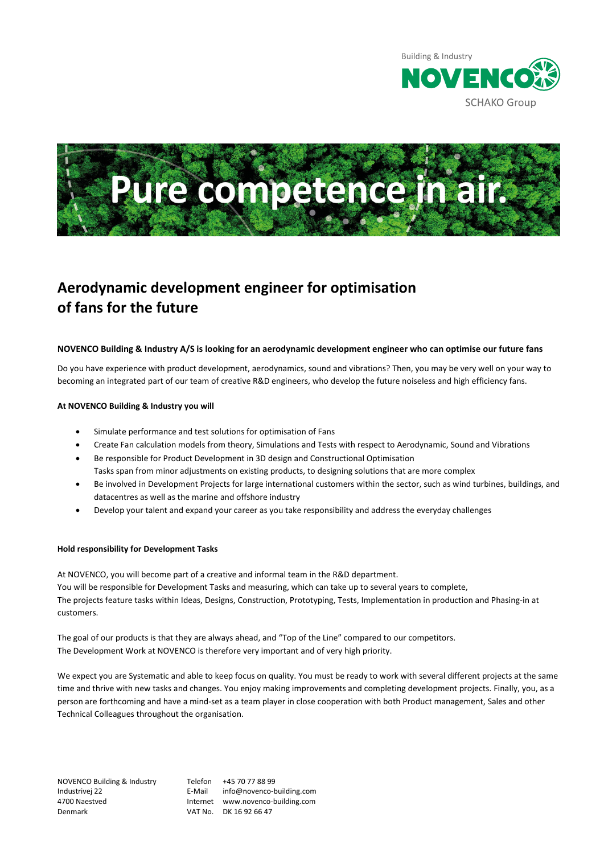



# **Aerodynamic development engineer for optimisation of fans for the future**

## **NOVENCO Building & Industry A/S is looking for an aerodynamic development engineer who can optimise our future fans**

Do you have experience with product development, aerodynamics, sound and vibrations? Then, you may be very well on your way to becoming an integrated part of our team of creative R&D engineers, who develop the future noiseless and high efficiency fans.

### **At NOVENCO Building & Industry you will**

- Simulate performance and test solutions for optimisation of Fans
- Create Fan calculation models from theory, Simulations and Tests with respect to Aerodynamic, Sound and Vibrations
- Be responsible for Product Development in 3D design and Constructional Optimisation Tasks span from minor adjustments on existing products, to designing solutions that are more complex
- Be involved in Development Projects for large international customers within the sector, such as wind turbines, buildings, and datacentres as well as the marine and offshore industry
- Develop your talent and expand your career as you take responsibility and address the everyday challenges

## **Hold responsibility for Development Tasks**

At NOVENCO, you will become part of a creative and informal team in the R&D department. You will be responsible for Development Tasks and measuring, which can take up to several years to complete, The projects feature tasks within Ideas, Designs, Construction, Prototyping, Tests, Implementation in production and Phasing-in at customers.

The goal of our products is that they are always ahead, and "Top of the Line" compared to our competitors. The Development Work at NOVENCO is therefore very important and of very high priority.

We expect you are Systematic and able to keep focus on quality. You must be ready to work with several different projects at the same time and thrive with new tasks and changes. You enjoy making improvements and completing development projects. Finally, you, as a person are forthcoming and have a mind-set as a team player in close cooperation with both Product management, Sales and other Technical Colleagues throughout the organisation.